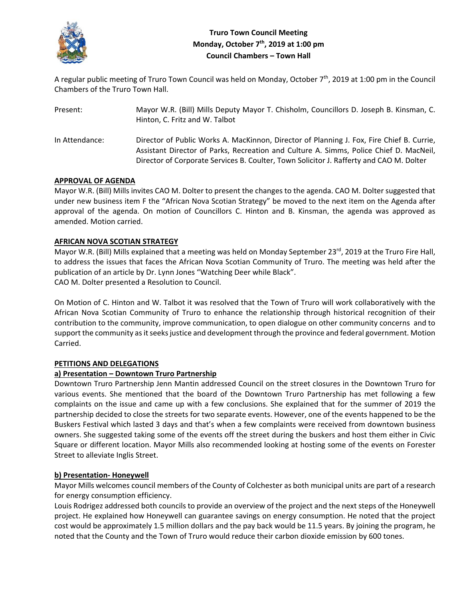

# **Truro Town Council Meeting Monday, October 7th, 2019 at 1:00 pm Council Chambers – Town Hall**

A regular public meeting of Truro Town Council was held on Monday, October 7<sup>th</sup>, 2019 at 1:00 pm in the Council Chambers of the Truro Town Hall.

| Present:       | Mayor W.R. (Bill) Mills Deputy Mayor T. Chisholm, Councillors D. Joseph B. Kinsman, C.<br>Hinton, C. Fritz and W. Talbot                                                                                                                                                       |
|----------------|--------------------------------------------------------------------------------------------------------------------------------------------------------------------------------------------------------------------------------------------------------------------------------|
| In Attendance: | Director of Public Works A. MacKinnon, Director of Planning J. Fox, Fire Chief B. Currie,<br>Assistant Director of Parks, Recreation and Culture A. Simms, Police Chief D. MacNeil,<br>Director of Corporate Services B. Coulter, Town Solicitor J. Rafferty and CAO M. Dolter |

# **APPROVAL OF AGENDA**

Mayor W.R. (Bill) Mills invites CAO M. Dolter to present the changes to the agenda. CAO M. Dolter suggested that under new business item F the "African Nova Scotian Strategy" be moved to the next item on the Agenda after approval of the agenda. On motion of Councillors C. Hinton and B. Kinsman, the agenda was approved as amended. Motion carried.

# **AFRICAN NOVA SCOTIAN STRATEGY**

Mayor W.R. (Bill) Mills explained that a meeting was held on Monday September 23rd, 2019 at the Truro Fire Hall, to address the issues that faces the African Nova Scotian Community of Truro. The meeting was held after the publication of an article by Dr. Lynn Jones "Watching Deer while Black". CAO M. Dolter presented a Resolution to Council.

On Motion of C. Hinton and W. Talbot it was resolved that the Town of Truro will work collaboratively with the African Nova Scotian Community of Truro to enhance the relationship through historical recognition of their contribution to the community, improve communication, to open dialogue on other community concerns and to support the community as it seeks justice and development through the province and federal government. Motion Carried.

# **PETITIONS AND DELEGATIONS**

# **a) Presentation – Downtown Truro Partnership**

Downtown Truro Partnership Jenn Mantin addressed Council on the street closures in the Downtown Truro for various events. She mentioned that the board of the Downtown Truro Partnership has met following a few complaints on the issue and came up with a few conclusions. She explained that for the summer of 2019 the partnership decided to close the streets for two separate events. However, one of the events happened to be the Buskers Festival which lasted 3 days and that's when a few complaints were received from downtown business owners. She suggested taking some of the events off the street during the buskers and host them either in Civic Square or different location. Mayor Mills also recommended looking at hosting some of the events on Forester Street to alleviate Inglis Street.

## **b) Presentation‐ Honeywell**

Mayor Mills welcomes council members of the County of Colchester as both municipal units are part of a research for energy consumption efficiency.

Louis Rodrigez addressed both councils to provide an overview of the project and the next steps of the Honeywell project. He explained how Honeywell can guarantee savings on energy consumption. He noted that the project cost would be approximately 1.5 million dollars and the pay back would be 11.5 years. By joining the program, he noted that the County and the Town of Truro would reduce their carbon dioxide emission by 600 tones.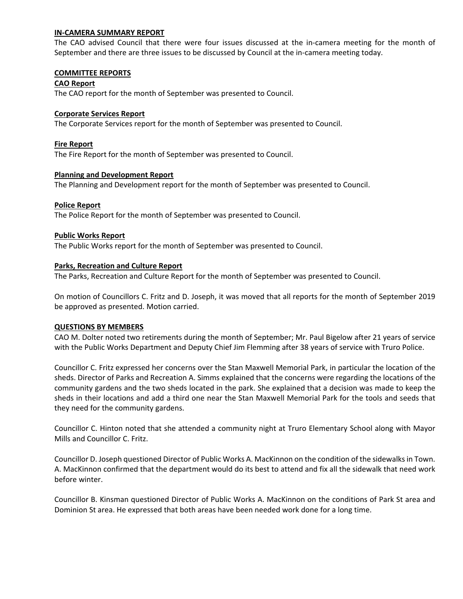### **IN‐CAMERA SUMMARY REPORT**

The CAO advised Council that there were four issues discussed at the in-camera meeting for the month of September and there are three issues to be discussed by Council at the in‐camera meeting today.

#### **COMMITTEE REPORTS**

### **CAO Report**

The CAO report for the month of September was presented to Council.

### **Corporate Services Report**

The Corporate Services report for the month of September was presented to Council.

### **Fire Report**

The Fire Report for the month of September was presented to Council.

### **Planning and Development Report**

The Planning and Development report for the month of September was presented to Council.

### **Police Report**

The Police Report for the month of September was presented to Council.

### **Public Works Report**

The Public Works report for the month of September was presented to Council.

### **Parks, Recreation and Culture Report**

The Parks, Recreation and Culture Report for the month of September was presented to Council.

On motion of Councillors C. Fritz and D. Joseph, it was moved that all reports for the month of September 2019 be approved as presented. Motion carried.

## **QUESTIONS BY MEMBERS**

CAO M. Dolter noted two retirements during the month of September; Mr. Paul Bigelow after 21 years of service with the Public Works Department and Deputy Chief Jim Flemming after 38 years of service with Truro Police.

Councillor C. Fritz expressed her concerns over the Stan Maxwell Memorial Park, in particular the location of the sheds. Director of Parks and Recreation A. Simms explained that the concerns were regarding the locations of the community gardens and the two sheds located in the park. She explained that a decision was made to keep the sheds in their locations and add a third one near the Stan Maxwell Memorial Park for the tools and seeds that they need for the community gardens.

Councillor C. Hinton noted that she attended a community night at Truro Elementary School along with Mayor Mills and Councillor C. Fritz.

Councillor D. Joseph questioned Director of Public Works A. MacKinnon on the condition of the sidewalks in Town. A. MacKinnon confirmed that the department would do its best to attend and fix all the sidewalk that need work before winter.

Councillor B. Kinsman questioned Director of Public Works A. MacKinnon on the conditions of Park St area and Dominion St area. He expressed that both areas have been needed work done for a long time.